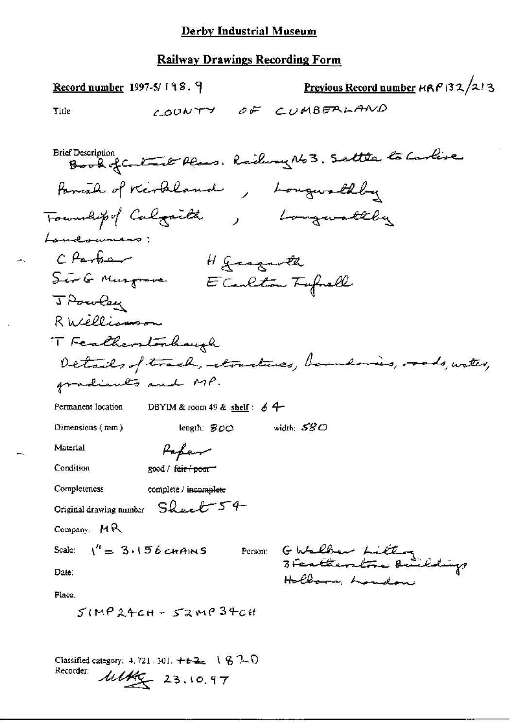$\overline{a}$ 

| Record number 1997-5/198.9                                                         | Previous Record number HRP132/213                                      |
|------------------------------------------------------------------------------------|------------------------------------------------------------------------|
| COUNTY<br>Title                                                                    | OF CUMBERLAND                                                          |
|                                                                                    |                                                                        |
| <b>Brief Description</b><br>Book of Contact Plans. Railway No 3. Settle to Carlise |                                                                        |
| Panish of Kerklaude, Longwalkly                                                    |                                                                        |
| Township of Calgaille, bonquality                                                  |                                                                        |
| Lameloumans:                                                                       |                                                                        |
| CPartia<br>H Jasquoth                                                              |                                                                        |
| Ser G Musqrove                                                                     | E Carleton Typhell                                                     |
| J Powley                                                                           |                                                                        |
| R Wellismon                                                                        |                                                                        |
| T Featherstonhaugh                                                                 |                                                                        |
|                                                                                    | Details of track, atractives, bandonies, roods, water,                 |
| gradients and MP.                                                                  |                                                                        |
| Permanent location<br>DBYIM & room 49 & shelf: $64$                                |                                                                        |
| Dimensions (mm)<br>length: $SOO$                                                   | width: $580$                                                           |
| Material<br>Papen                                                                  |                                                                        |
| Condition<br>good / f <del>air / poor</del>                                        |                                                                        |
| Completeness<br>complete / incomplete                                              |                                                                        |
| Original drawing number $SQ_{\text{m}}TT$ $S$                                      |                                                                        |
| Company: $MR$                                                                      |                                                                        |
| Scale: $1^{\prime\prime} = 3.156$ cHAINS                                           |                                                                        |
| Date:                                                                              | Person: G Walker Litting<br>3 Feraltametra Buildings<br>Hollow, London |
| Place.                                                                             |                                                                        |
| $51MP24CH - 52MP34CH$                                                              |                                                                        |
|                                                                                    |                                                                        |
| Classified category: 4, 721, 301, $+62$ , 1 $-67$                                  |                                                                        |
| Recorder:<br>$\frac{\mu\mu_{\mathcal{L}}}{23.10.97}$                               |                                                                        |
|                                                                                    |                                                                        |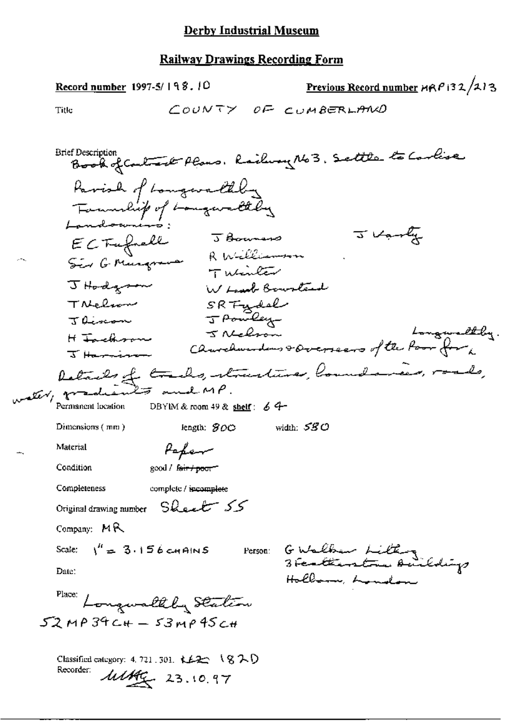Previous Record number  $ARP$  132/213 Record number 1997-5/198.10 COUNTY OF CUMBERLAND Title Brief Description Brook of Could sell Plans. Railway No 3. Settle to Carlise Parish of Longwallby Tournlip of Longwaltely<br>Londonnius: 5 Bourses<br>ECTrefrell 5 Bourses J Varly Tuesda J Hodgson W Lough Bourtand SRTydel TNelson J Pombey J divison H Factor 5 Nelson Longweltly.<br>I Harrison Clavelanders & Overseers of the Poor for Retails of tracks, structures, loundaries, roads, ster, grade Permanent location DBYIM & room 49 & shelf:  $64$ -Dimensions  $(mn)$ length:  $SOO$  width:  $SSO$ Paper Material good / fair / poor" Condition Completeness complete / incomplete Original drawing number Sheet 55 Company:  $MR$ Person: G Walker Litting Scale:  $\binom{n}{2}$  3.156 cm AINS Date: Hollow, London Place: Longwalthy Station  $52$ MP  $34$ C+ -  $53$ MP  $45$ C+ Classified category: 4, 721, 301,  $k+2$   $\rightarrow$   $(8,7)$ Recorder: Matthe 23.10.97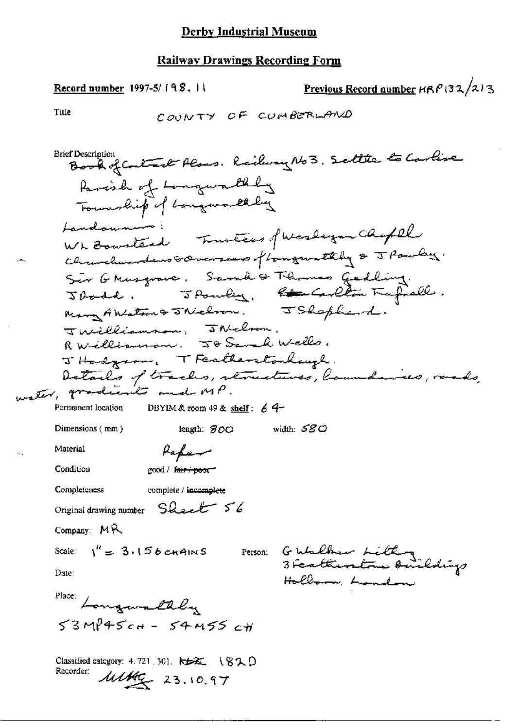Previous Record number  $HRP(32/213)$ Record number 1997-5/198.11 Title COUNTY OF CUMBERLAND Book of Contact Plans. Railway No 3. Settle to Carlise **Brief Description** Parish of Longworthly Township of Longwood they Landounne Wh Bounted Trustees of Wesleyan Chaptel Chanders coverses of tongwathly & J Powley. Sir Ghusgrave. Samd's Thomas Gedling.<br>Jbodd. Jbouley, <del>le G</del>edlin Fufrell.<br>Many ANstrus Thelson. JShopherd. Twilliamson, JNelson. RWelliamson. J& Sand Wells. JHodgson, TFeatherstocksup.<br>Details of tracks, storectures, laundaines, raads, DBYIM & room 49 & shelf:  $64$ Permanent location width:  $\mathcal{SGC}$ Dimensions (mm) length:  $300$ Material Paper Condition good / fair + poor Completeness complete / incomplete Original drawing number Sheet 56 Company: MR Person: GWalber Lithog Scale:  $\sqrt{4} = 3.156$  c-HAINS Date: Hollow Landon Place: Longwallly  $53M945c+ - 54M55c$ Classified category: 4.721, 301. 卡卡红 (820) Recorder:  $\frac{\mu\mu}{2}$  23.10.97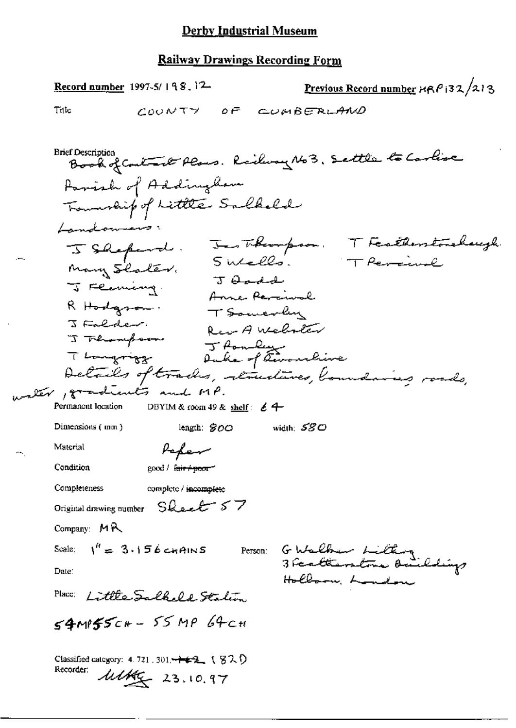|                                                                                                                                            | Record number 1997-5/198.12                                                                                                                                           |                                  |                                                                                               |                                            |                          | Previous Record number HRP 132/213 |
|--------------------------------------------------------------------------------------------------------------------------------------------|-----------------------------------------------------------------------------------------------------------------------------------------------------------------------|----------------------------------|-----------------------------------------------------------------------------------------------|--------------------------------------------|--------------------------|------------------------------------|
| Title                                                                                                                                      | COUNTY                                                                                                                                                                | $\overline{O}F$                  |                                                                                               | CUMBERLAND                                 |                          |                                    |
| <b>Brief Description</b><br>Landowners:<br>J Shepard.<br>Many Slater.<br>J Flaming.<br>R Hodgson.<br>J Falder.<br>J Flumpson<br>T Longwigg | Book of Contact Plans. Railway No 3. Settle to Carlise<br>Farish of Addingtham<br>Transmarking of Little Sulheld<br>Details of tracks, retructures, boundaries roads, | $J$ $\theta$ and $d$<br>J fondez | Jes Theorpson.<br>SWells.<br>Anne Parciual<br>T Somerly<br>Rea A Webster<br>Duke of tworrlive |                                            | T Persinal               | T Featherstonehaugh                |
| water , gradients and MP.<br>Permanent location                                                                                            |                                                                                                                                                                       |                                  |                                                                                               |                                            |                          |                                    |
| Dimensions (mm)                                                                                                                            | DBYIM & room 49 & shelf: $\&$ 4                                                                                                                                       | length: $300$                    | width: $580$                                                                                  |                                            |                          |                                    |
| Material                                                                                                                                   | Peper                                                                                                                                                                 |                                  |                                                                                               |                                            |                          |                                    |
| Condition                                                                                                                                  | good / fair <del>/ poor</del>                                                                                                                                         |                                  |                                                                                               |                                            |                          |                                    |
| Completeness                                                                                                                               | complete / incomplete                                                                                                                                                 |                                  |                                                                                               |                                            |                          |                                    |
|                                                                                                                                            | Original drawing number Sheet 57                                                                                                                                      |                                  |                                                                                               |                                            |                          |                                    |
| Company: MR                                                                                                                                |                                                                                                                                                                       |                                  |                                                                                               |                                            |                          |                                    |
| Date:                                                                                                                                      | Scale: $1'' = 3.156$ cm AINS                                                                                                                                          |                                  |                                                                                               | Person: G Walker Lilling<br>Hollow, London | 3 Featherstone Buildings |                                    |
| Place:                                                                                                                                     | Little Salkeld Station                                                                                                                                                |                                  |                                                                                               |                                            |                          |                                    |
|                                                                                                                                            | $54$ MP $55c+ - 55$ MP 64cH                                                                                                                                           |                                  |                                                                                               |                                            |                          |                                    |
| Recorder:                                                                                                                                  | Classified category: 4.721.301 <del>. <math>+ 2</math></del> (820)<br>$\frac{\text{MMS}_2}{23.10.97}$                                                                 |                                  |                                                                                               |                                            |                          |                                    |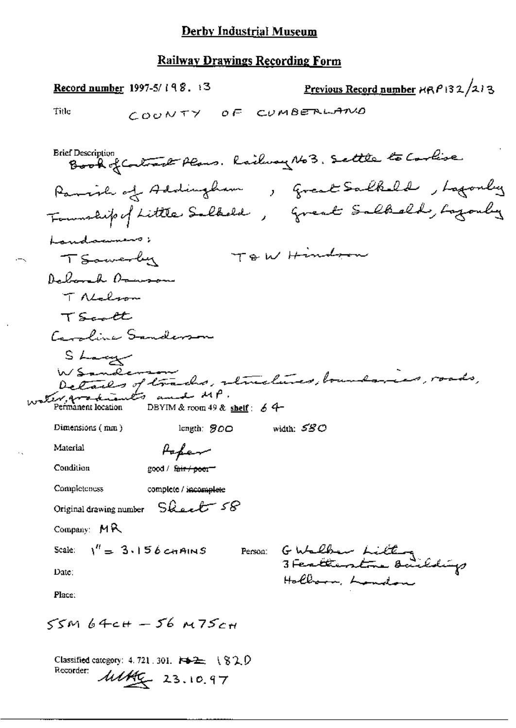|                                                 | <u>Record number</u> 1997-5/198. +3                                         | Previous Record number HRP132/213                       |
|-------------------------------------------------|-----------------------------------------------------------------------------|---------------------------------------------------------|
| Title                                           | COONTY                                                                      | OF CUMBERLAND                                           |
| <b>Brief Description</b>                        |                                                                             | Book of Contract Plans. Railway No 3. Settle to Carlise |
|                                                 | Panish of Addingham                                                         | , Great Salkeld, Lagonly                                |
|                                                 |                                                                             | Township of Little Saltadd, Great Saltadd, Lazonly      |
| Landammers;                                     |                                                                             |                                                         |
| TSawerby                                        |                                                                             | TOW Hindren                                             |
| Deborah Ormson                                  |                                                                             |                                                         |
| T Nalson                                        |                                                                             |                                                         |
| TScott                                          |                                                                             |                                                         |
|                                                 | Caroline Sanderson                                                          |                                                         |
| S Large                                         |                                                                             |                                                         |
| WSanderson                                      |                                                                             | Details of trachs, structures, boundaries, roads,       |
| water, producents and MP.<br>Permanent location | DBYIM & room 49 & shelf : $64-$                                             |                                                         |
| Dimensions (mm)                                 | length: $500$                                                               | width: $580$                                            |
| Material                                        | Hefer                                                                       |                                                         |
| Condition                                       | good / fa <del>ir / poo</del> r                                             |                                                         |
| Completeness                                    | complete / incomplete                                                       |                                                         |
|                                                 | Original drawing number Sheet 58                                            |                                                         |
| Company: $M R$                                  |                                                                             |                                                         |
|                                                 | Scale: $1'' = 3.156$ chains                                                 | Person: GWalber Lilling<br>3 Feratterstre Backdigs      |
| Date:                                           |                                                                             | Hollson, London                                         |
| Place:                                          |                                                                             |                                                         |
|                                                 | $55m$ 64ch – 56 m75ch                                                       |                                                         |
| Recorder:                                       | Classified category: 4.721.301. 14-2: 1820<br>$\frac{\text{MME}}{23.10.97}$ |                                                         |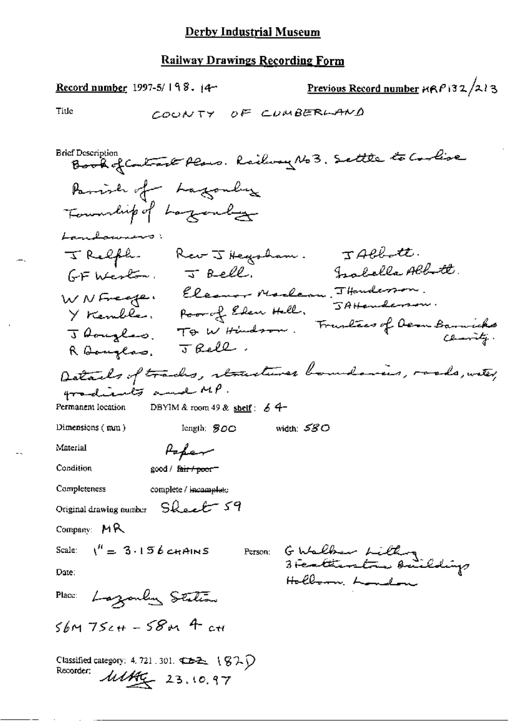Previous Record number  $RPR/32/213$ Record number 1997-5/198.  $(4-$ Title COUNTY OF CUMBERLAND **Brief Description** Book of Contract Plans. Railway No 3. Settle to Coolise Parish of Lagonly Township of Lazonly Landerman : JACRAtt. J Relph. Rev J Hegsham. Inabella Albertt.  $GF$  Wester,  $\overline{f}$  Bell. WNFreege, Eleanor Marlan, THendesson. JAHenderson. Y Kembles, Poor of Eden Hell. Thoughes. To W Hindson. Frustees of Dem Barnicks  $JrelL.$ R Banglas. Details of tracks, structures boundaries, roads, water, gradients and MP. DBYIM & room 49 & shelf:  $64-$ Permanent Iocation Dimensions (mm) length: \$00 width: 580 Material Popen Condition good / fair / poor Completeness complete / incomplete Original drawing number Sheet 59 Company: MR G Walker Lithog<br>3 Fertientra Ouildigs Scale:  $\binom{n}{k} = 3.156$  chains Person: Date: Hollson, Landon Lazarly Station Place:  $56M75c+ -58M4$  cH Classified category: 4, 721, 301.  $\overline{\text{C}}$   $\rightarrow$  ( $\overline{\text{G}}$   $\rightarrow$   $\overline{\text{C}}$ ) Recorder: 111/16 23.10.97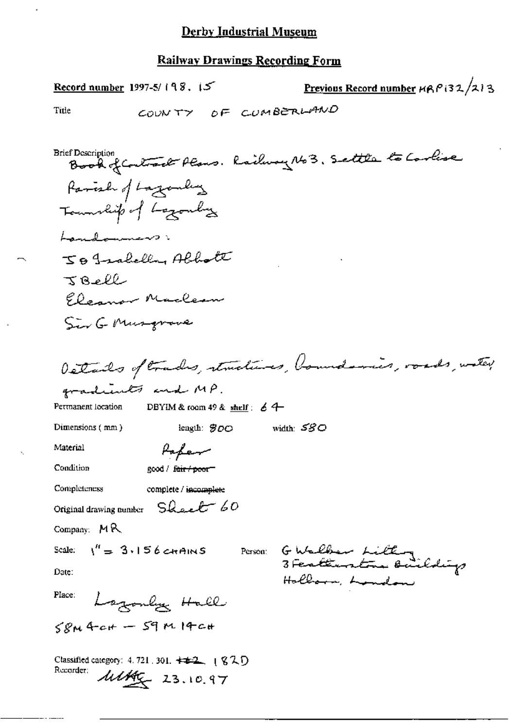J,

| Record number 1997-5/198. $15$                                                                                                      | Previous Record number HRP 132/213 |
|-------------------------------------------------------------------------------------------------------------------------------------|------------------------------------|
| COUNTY OF CUMBERLAND<br>Title                                                                                                       |                                    |
|                                                                                                                                     |                                    |
| <b>Brief Description</b><br>Book of Contract Plans. Railway No 3. Settle to Carlise                                                 |                                    |
| Parish of Lazanky                                                                                                                   |                                    |
| Township of Lazonly                                                                                                                 |                                    |
| Landammers:                                                                                                                         |                                    |
| JB Jackelly Albert                                                                                                                  |                                    |
| $36$ ell                                                                                                                            |                                    |
| Eleanor Maclean                                                                                                                     |                                    |
| Sir G Musquere                                                                                                                      |                                    |
|                                                                                                                                     |                                    |
| Details of trades, structures, boundaries, roads, water,                                                                            |                                    |
| gradients and MP.                                                                                                                   |                                    |
| DBYIM & room 49 & shelf : $64$<br>Permanent location                                                                                |                                    |
| Dimensions (mm)<br>width: $580$<br>length: $\mathcal{B}$ <i>O</i> $\circ$                                                           |                                    |
| Material<br>Paper                                                                                                                   |                                    |
| Condition<br>good / f <del>air / poo</del> r—                                                                                       |                                    |
| Completeness<br>complete / incomplete                                                                                               |                                    |
| Original drawing number $S$ heel $60$                                                                                               |                                    |
| Company: $M R$                                                                                                                      |                                    |
| $V' = 3.156$ chains<br>Scale.                                                                                                       | Parson: GWalber Litting            |
| Date:                                                                                                                               | Hollows, London                    |
| Place:<br>Lagonly Hall                                                                                                              |                                    |
| $SPM4$ cH – 59 $M14$ cH                                                                                                             |                                    |
| Classified category: 4.721, 301, $\pm\pm2$ , $(820)$<br>Recorder:<br>$\frac{\text{MMS}_{\text{c}}}{\text{MMS}_{\text{c}}}$ 23.10.97 |                                    |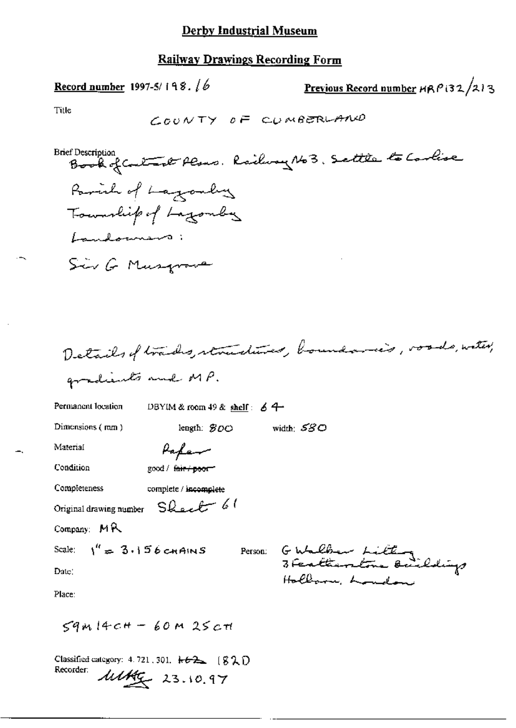#### **Railway Drawings Recording Form**

Record number 1997-5/198.  $/6$ 

Previous Record number  $HRP(32/213)$ 

Title



Details of trades, structures, boundaries, voods, with, gradients and MP.

Permanent location

DBYIM & room 49 & shelf:  $64$ 

Dimensions (mm)

length:  $$OC$ width:  $\mathcal{SGO}$ 

Material

Papam

Condition

good / fair / poor

Completeness complete / incomplete

Original drawing number Sheet 61

Company: MR

Scale:  $\frac{1}{4}$  = 3.156 cHAINS

Person: GWalker Litting Hollow Louder

Place:

Date:

 $59414cH - 60M25cH$ 

Classified category: 4.721, 301.  $\star\leftrightarrow 2$  [82) Recorder:  $\mu\mu\mu\mu$  23.10.97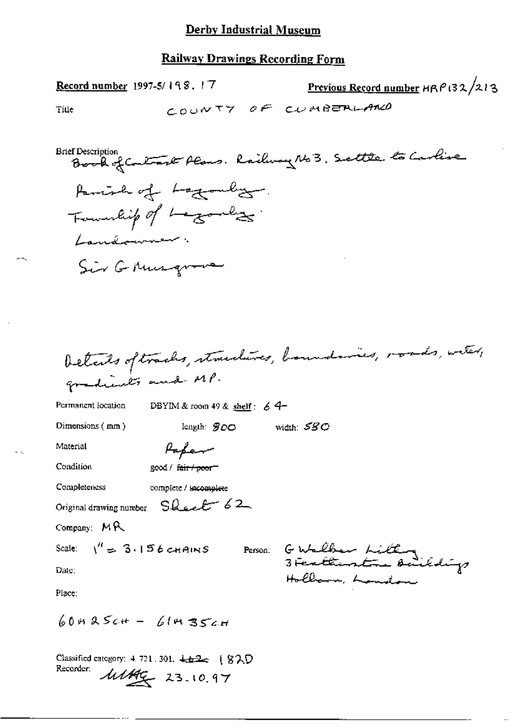### Railway Drawings Recording Form

| Previous Record number HRP132/213<br>Record number 1997-5/198.17                                                                                                 |
|------------------------------------------------------------------------------------------------------------------------------------------------------------------|
| COUNTY OF CUMBERLAND<br>Title                                                                                                                                    |
| <b>Brief Description</b><br>Book of Contract Plans. Railway No 3. Settle to Carlise<br>Parish of Lagonly<br>Fourthip of Londies.<br>Landowner.<br>Sir G Musqueve |
| Details oftrachs, structures, houndaries, roads, witer,<br>gradients and MP.<br>Permanent location<br>DBYIM & room 49 & shelf: $64-$                             |
| Dimensions (mm)<br>width: SSC<br>length: $900$                                                                                                                   |
| Material<br>Papar                                                                                                                                                |
| Condition<br>good / <del>fair / poo</del> r—                                                                                                                     |
| Completeness<br>complete / incomplete                                                                                                                            |
| Original drawing number Sheet 62                                                                                                                                 |
| Company: MR                                                                                                                                                      |
| Scale: $\binom{n}{2}$ 3.156 chains<br>Person: Gubelber Litting                                                                                                   |
| Date:<br>Holbarn, Landon                                                                                                                                         |
| Place:                                                                                                                                                           |
| $60425c$ + - 61435c+                                                                                                                                             |

Classified category: 4.721.301. 442 (820 Recorder:  $\mu$ /<br>23.10.97

 $-$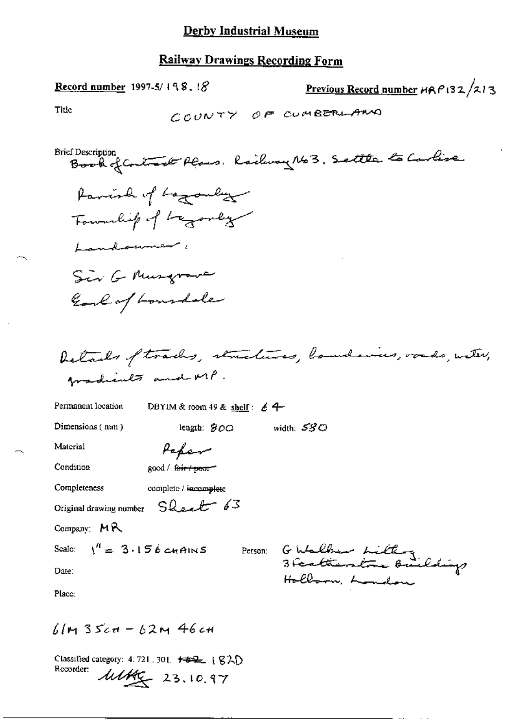Previous Record number HRP132/213 <u>Record number</u> 1997-5/198, t $8$ Title COUNTY OF CUMBERLAND Brief Description<br>Book of Contract Alans. Rachway No 3. Settle to Carlise faminh of baganly Fournhip of Lagonly Landammer Sir G Musgrave Earl of Lonsdale Details of tracks, structures, boundaries, vouds, witer, Amadients and MP. Permanent location DBYIM & room 49 & shelf:  $64$ Dimensions (mm) width:  $\mathcal{SGO}$ length:  $300$ Material Paper Condition good / fair / poor" Completeness complete / incomplete Original drawing number Sheet 63 Company: MR G Walber Litting<br>3 Featherstra Buildigs Scale:  $\sqrt{4} = 3.156$  cm AINS Person: Date: Hollown, London Place:

 $61m35cm - 62m46cm$ 

Classified category: 4.721.301. +=== (820) Recorder: Make 23, 10.97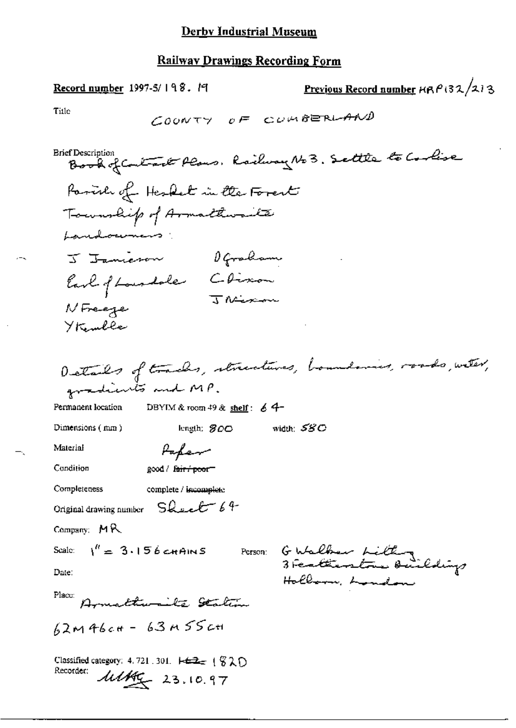Previous Record number HRP132/213 Record number 1997-5/198. 19 Title COUNTY OF CUMBERLAND Brief Description<br>Book of Contract Plans, Railway No 3. Settle to Coolise Parish of Hesket in the Forest Township of Armathwaite Landoumers: J Janieron Ofraham Earl of Loundale Chimon<br>Jacques Jacques NFreeze Ykember Details of tracks, structures, houndaries, roads, with, gradients and MP. DBYIM & room 49 & shelf:  $64-$ Permanent location width:  $\mathcal{SSC}$ Dimensions (mm) length:  $800$ Material Paper good / fair / poor Condition Completeness complete / iscomplete Original drawing number Sheet 64  $Common: M<sub>R</sub>$ Person: G Walker Killing Scale:  $1^h = 3.156$  chains Date: Hollarm, London Place: Armathumite Station  $62M46c+63M55c+$ Classified category: 4, 721, 301.  $\leftarrow \pm \pm \pm \left(\frac{C}{2} \right)$ Recorder:  $11466 - 23.10.97$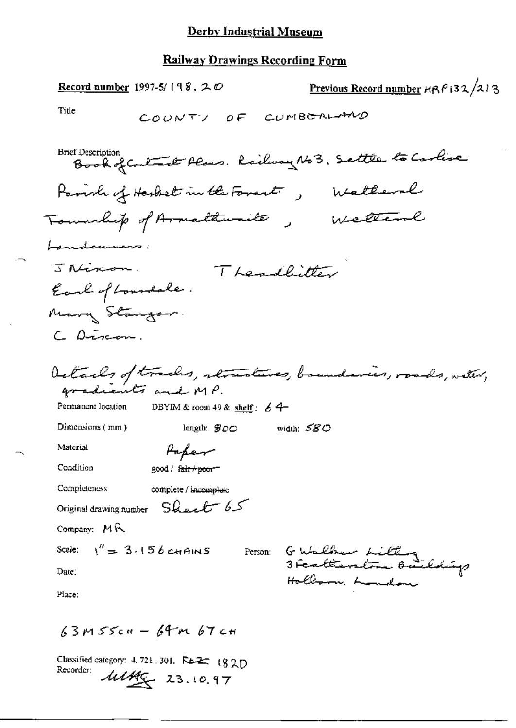#### **Railway Drawings Recording Form**

Previous Record number  $HRP$  132/213 Record number 1997-5/198.  $20$ Title COUNTY OF CUMBERLAND Brief Description<br>Book of Contact Plans. Railway No 3, Settle to Carlise Parish of Herbet in the Forest , Wetteral Township of Armalthuailte, Welliame Landoumers: J Niscon. Theodhitter Earl of Loundale. Mary Stanger. C Discon. Details of tracks, structures, boundaries, roads, water, gradiants and MP. Permanent location DBYIM & room 49 & shelf:  $64-$ Dimensions (mm) width:  ${\cal S}{\cal S}{\cal C}$ length:  $$00$ Material Paper Condition good / fair + poor-Completeness complete / incomplete Original drawing number Sheet 65 Company: MR G Walker Litting<br>3 Featherstra Baildigs Scale:  $\frac{1}{1}$  = 3.156 cHAINS Person: Date: Hollown, Loudon Place:

 $63M55c+ - 64M67c+$ 

Classified category: 4.721.301. REE: 182D Recorder:  $\frac{\text{111}}{400}$  23.10.97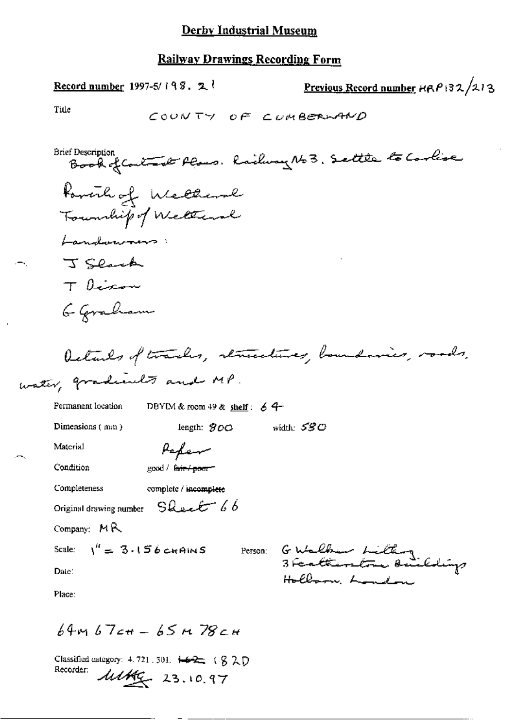# **Railway Drawings Recording Form**

| Previous Record number HRP 132/213<br>Record number 1997-5/198. $2^t$           |
|---------------------------------------------------------------------------------|
| Title<br>COUNTY OF CUMBERLAND                                                   |
| Brief Description<br>Book of Contract Plans. Railway No 3. Settle to Carlise    |
| Powerhof Wellerd                                                                |
| Township of Weltward                                                            |
| Landwwoners:                                                                    |
| J Slack                                                                         |
| $T$ become                                                                      |
| 6 Goraham                                                                       |
| Details of tracks, remediates, boundaries, roads,<br>water, gradients and MP.   |
| Permanent location<br>DBYIM & room 49 & shelf: $64-$                            |
| width: $530$<br>Dimensions (mm)<br>length: $900$                                |
| Material<br>Peper                                                               |
| Condition<br>good/ <del>fair/poor</del>                                         |
| Completeness<br>complete / incomplete                                           |
| Original drawing number $S$ leet 66                                             |
| Company: $MR$                                                                   |
| Scale: $\sqrt{4} = 3.156$ cm AINS<br>Person:                                    |
| G Walber <i>hilt</i> ing<br>3 Featterstone Beildings<br>Holboom London<br>Date: |
| Place:                                                                          |
| 64м 67сн – 65 м 78сн                                                            |

Classified category: 4.721.301.  $\overline{+22}$  (820)<br>Recorder:  $\overline{\mathcal{U}}$  23.10.97

ъ÷н,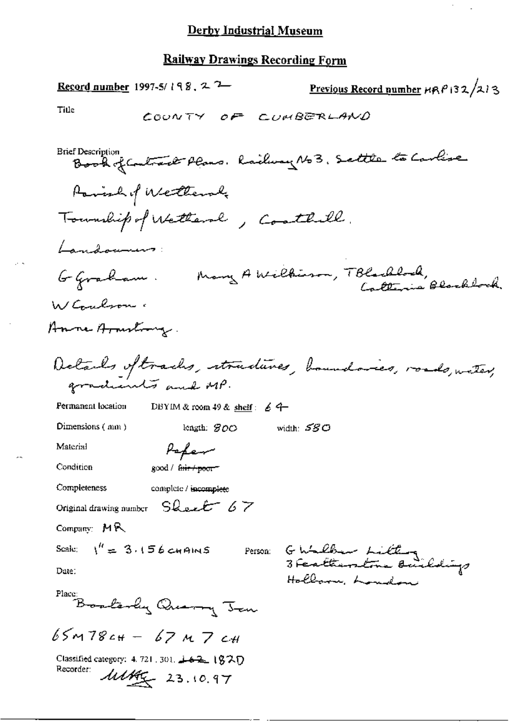$\hat{\mathcal{E}}$ 

l.

# Railway Drawings Recording Form

 $\mathbb{R}^n$  .

÷,

 $\sim$ 

| <b>Record number</b> 1997-5/198, 2 <sup>2</sup>                                          | Previous Record number HRP 132/213 |
|------------------------------------------------------------------------------------------|------------------------------------|
| Title<br>COUNTY OF CUMBERLAND                                                            |                                    |
| <b>Brief Description</b><br>Book of Contract Plans. Railway No3. Settle to Carlise       |                                    |
| Parish of Wetternly<br>Township of Wetternl, Conthill.                                   |                                    |
| Landonnes:                                                                               |                                    |
| G Graham.                                                                                | Many A Wilkieson, TBlackbook,      |
| W Coulson.                                                                               |                                    |
| Anne Armstrong.                                                                          |                                    |
| Details oftrachs, structures, houndaries, roads, water,<br>gradients and MP.             |                                    |
| Permanent location<br>DBYIM & room 49 & shelf: $64$                                      |                                    |
| Dimensions (mm)<br>width: $580$<br>length: $SOO$                                         |                                    |
| Material<br>Peper                                                                        |                                    |
| Condition<br>good / f <del>air / poor</del> =                                            |                                    |
| Completeness<br>complete / incomplete                                                    |                                    |
| Sheet 67<br>Original drawing number                                                      |                                    |
| Company: $MR$                                                                            |                                    |
| Scale: $\binom{n}{k}$ 3.156 chains                                                       | Person: Ghilbur Littling           |
| Date:                                                                                    | Hollarn, Loudon                    |
| Place:<br>Boatevely Querry Jan                                                           |                                    |
| $65m78c$ H – 67 M 7 $c$ H                                                                |                                    |
| Classified category: 4.721.301. 442 1820<br>Recorder:<br>$\frac{\text{MMS}}{4}$ 23.10.97 |                                    |

÷.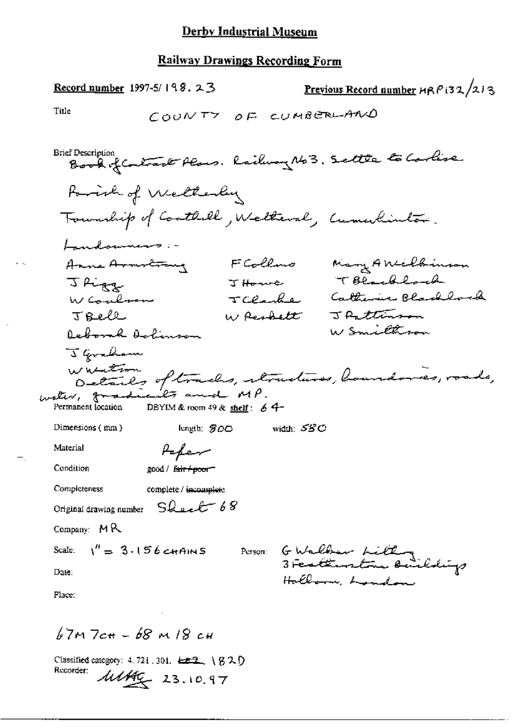# **Railway Drawings Recording Form**

| <b>Record number</b> 1997-5/198. $23$                                        | <u>Previous Record number</u> HRP i32/213  |
|------------------------------------------------------------------------------|--------------------------------------------|
| Title<br>COUNTY OF CUMBERLAND                                                |                                            |
| Brief Description<br>Book of Contract Plans. Railway No 3. Settle to Carlise |                                            |
| Porioh of Wellesley                                                          |                                            |
| Township of Coathold, Welteral, Cumulimbon.                                  |                                            |
| Landowners :-                                                                |                                            |
| FCollino<br>Anne Armstrong                                                   | Mary Anielbrinson                          |
| J Howe<br>J Rigg                                                             | TBlacklock                                 |
| W Coulmen<br>TClashe                                                         | Catherine Blacklock                        |
| W <del>Reshelt</del><br>JBell                                                | J Pattimson                                |
| Deborah Dohinson                                                             | W Smithron                                 |
| J Graham                                                                     |                                            |
| wasation<br>Details of tracks, itruduces, boundaries, roads,                 |                                            |
| water, gradicity and MP.                                                     |                                            |
| Permanent location<br>DBYIM & room $49$ & shelf: 6 $4-$                      |                                            |
| Dimensions (mm)<br>length: $800$                                             | width: SSC                                 |
| Material<br>Papen                                                            |                                            |
| Condition<br>good / f <del>air / poo</del> r                                 |                                            |
| Completeness<br>complete / incomplete                                        |                                            |
| Original drawing number Sheet 68                                             |                                            |
| Company: $MR$                                                                |                                            |
| Scale: $1'' = 3.156$ chans                                                   | Person G Walls in Little                   |
| Date:                                                                        | 3 Featherstone Building<br>Hollern, London |
| Place:                                                                       |                                            |
|                                                                              |                                            |

 $67M$   $7c# - 68$  M  $18c#$ 

 $\mathbf{v}_i$ 

Classified category: 4.721.301. LEZ \ 820 Recorder:  $\frac{1}{4444}$  23.10.97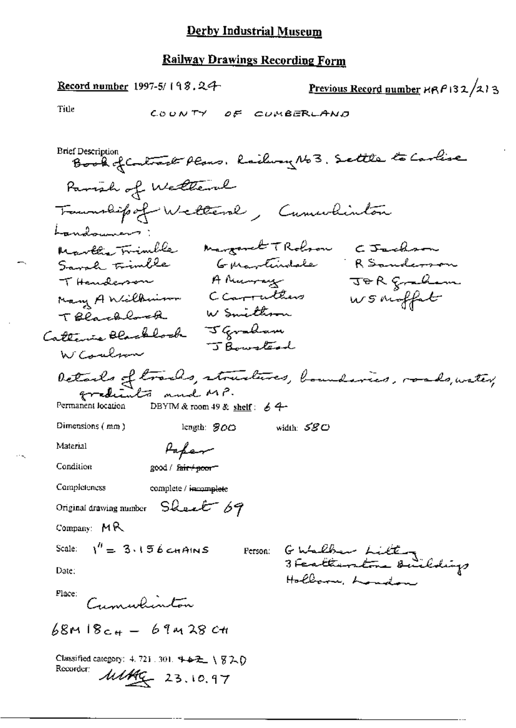Record number 1997-5/198.24 Previous Record number  $HRP$ 132/213 Title COUNTY OF CUMBERLAND Brief Description<br>Book of Contract Plans, Railway No 3, Settle to Carlise Parish of Wettern Tommabile of Wellers , Cumulintan Landowners Martha Trimble margaret TRobron CJackson Guartindale RSanderson Sarah trimble A Murray JOR gradian T Handerson<br>Nasy A Wilberium Carruthers W Smithman TBlackbook Tocannon J Gordon<br>Catterine Blackbook J Bourstead WCoulson Details of trads, structures, boundaries, roads, water, Permanent location DBYIM & room 49 & shelf:  $64$ Dimensions (mm) length:  $800$ width:  $\mathcal{S}\mathcal{S}\mathcal{O}$ Material Paper Condition good / fair+poor-Completeness complete / incomplete Original drawing number Sheet 69  $\mathop{\rm Commaux}\nolimits: {\sf M}\, {\sf R}$ GWalber Litter<br>3 Fertkentre Buildigs Scale:  $1^{\prime\prime} = 3.156$  chains Person: Date: Hollarn, London Place: Cumulinton  $68m18c_{4} - 69m28c_{4}$ Classified category: 4, 721 . 301. キャモ \ 820 Recorder: Matthe 23.10.97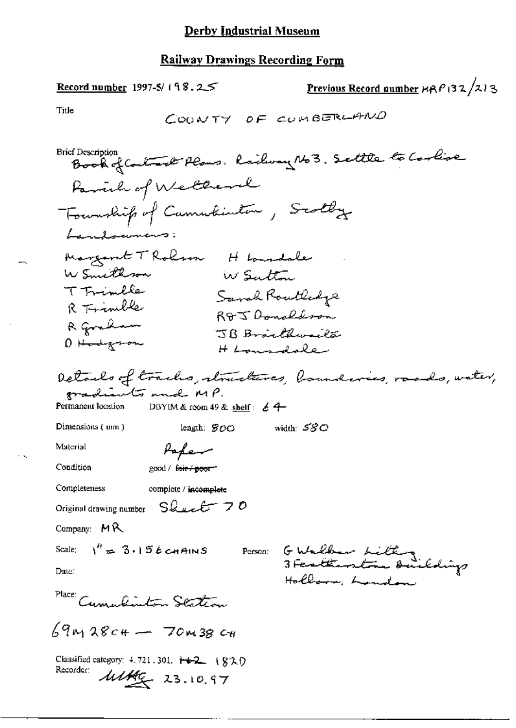**Record number** 1997-5/198.2.5

Previous Record number  $\text{MRP}(32/213)$ 

Title

$$
\mathsf{C} \mathsf{OWTY} \quad \mathsf{of} \quad \mathsf{count} \, \mathsf{GRL} \mathsf{AMO}
$$

**Brief Description** Book of Contact Plans. Railway No 3. Settle to Coolise Parish of Wellerl Township of Cumulinton, Scotly Landowners: Margaret T Rolson H Loundale W Smithson W Sutton T Trimble Sarah Routledge R Trinible R&J Donaldson R graham JB Braithwaita 0 H<del>od</del>gson H Longdoler Details of tracks, structures, boundaries, roads, water, gradients and MP. Permanent location DBYIM & room 49 & shelf:  $64$ Dimensions (mm) width:  $\mathcal{SGO}$ length:  $SOO$ Material Paper Condition good / fair / poor" Completeness complete / incomplete Original drawing number Sheet 70 Company: MR G Walber Litting<br>3 Fertiantra Buildigs Scale:  $\sqrt{n} = 3.156$  chains Person: Date: Hollows, Lundon Place: Cumulinton Station  $69m$  28c+ - 70m38 c+ Classified category: 4.721.301. 十+2\_ (820) Recorder:  $\frac{\text{111}}{400}$  23.10.97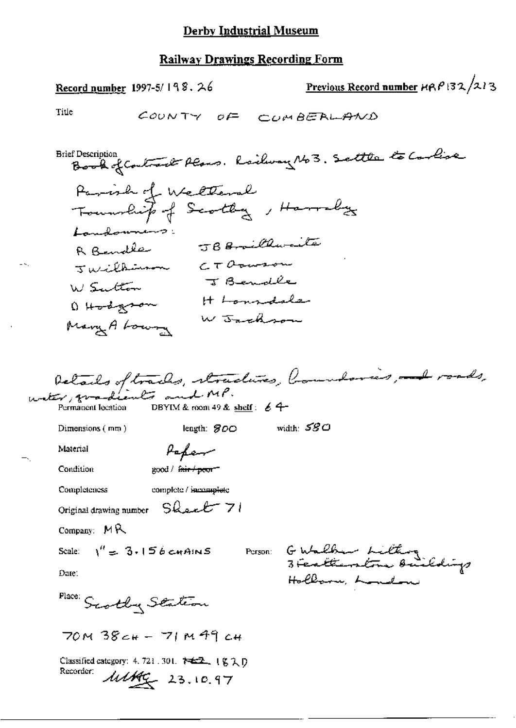Previous Record number  $HRP$ 132/213 Record number  $1997-5/198.26$ Title COUNTY OF CUMBERLAND Book of Contract Plans. Railway No 3. Settle to Carlise **Brief Description** Parish of Welteral Township of Scotley, Harraly Landonners: JBB orillwaite R Rendle  $CTO$ ouson Tuesdana J Bendle W Sutton H Lonsdale D Hodgron W Jackson Mary A Loury Details of tracks, structures, houndaries, not roads, Permanent location DBYIM & room 49 & shelf:  $\angle$  4width:  ${\cal SG}$   ${\cal SG}$ length: SOO Dimensions (mm) Papar Material good / fair / poor" Condition Completeness complete / incomplete Original drawing number Sheet 71 Company: MR GWalker Litting<br>3 Fertherstone Buildings Scale:  $1'' = 3.156$  cmAINS Person: Date: Hollow London Place: Scotly Station  $70M38c_{H}$  - 71 M 49  $c_{H}$ Classified category: 4, 721, 301. 神经, 1g 2 D Recorder:  $\frac{\text{111}}{40}$  23.10.97